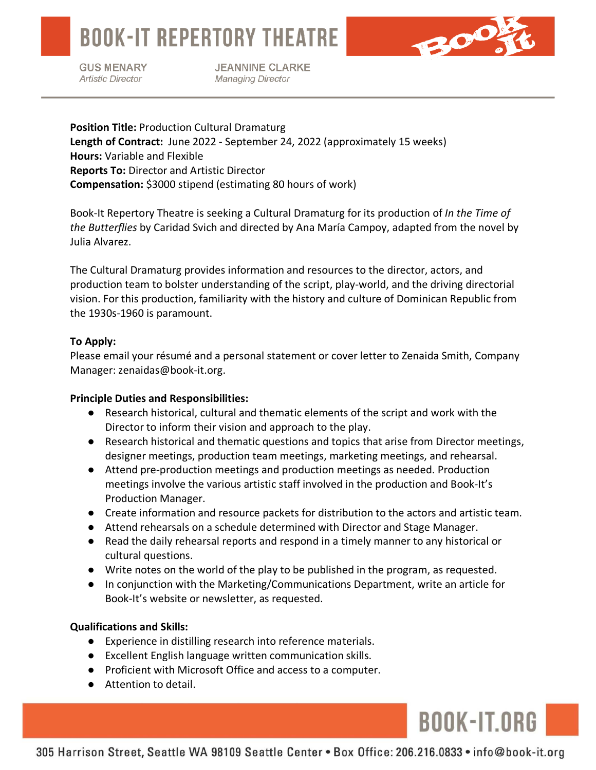**BOOK-IT REPERTORY THEATRE** 

**GUS MENARY Artistic Director** 

**JEANNINE CLARKE Managing Director** 

**Position Title:** Production Cultural Dramaturg **Length of Contract:** June 2022 - September 24, 2022 (approximately 15 weeks) **Hours:** Variable and Flexible **Reports To:** Director and Artistic Director **Compensation:** \$3000 stipend (estimating 80 hours of work)

Book-It Repertory Theatre is seeking a Cultural Dramaturg for its production of *In the Time of the Butterflies* by Caridad Svich and directed by Ana María Campoy, adapted from the novel by Julia Alvarez.

The Cultural Dramaturg provides information and resources to the director, actors, and production team to bolster understanding of the script, play-world, and the driving directorial vision. For this production, familiarity with the history and culture of Dominican Republic from the 1930s-1960 is paramount.

## **To Apply:**

Please email your résumé and a personal statement or cover letter to Zenaida Smith, Company Manager: zenaidas@book-it.org.

# **Principle Duties and Responsibilities:**

- Research historical, cultural and thematic elements of the script and work with the Director to inform their vision and approach to the play.
- Research historical and thematic questions and topics that arise from Director meetings, designer meetings, production team meetings, marketing meetings, and rehearsal.
- Attend pre-production meetings and production meetings as needed. Production meetings involve the various artistic staff involved in the production and Book-It's Production Manager.
- Create information and resource packets for distribution to the actors and artistic team.
- Attend rehearsals on a schedule determined with Director and Stage Manager.
- Read the daily rehearsal reports and respond in a timely manner to any historical or cultural questions.
- Write notes on the world of the play to be published in the program, as requested.
- In conjunction with the Marketing/Communications Department, write an article for Book-It's website or newsletter, as requested.

### **Qualifications and Skills:**

I

- Experience in distilling research into reference materials.
- Excellent English language written communication skills.
- Proficient with Microsoft Office and access to a computer.
- Attention to detail.